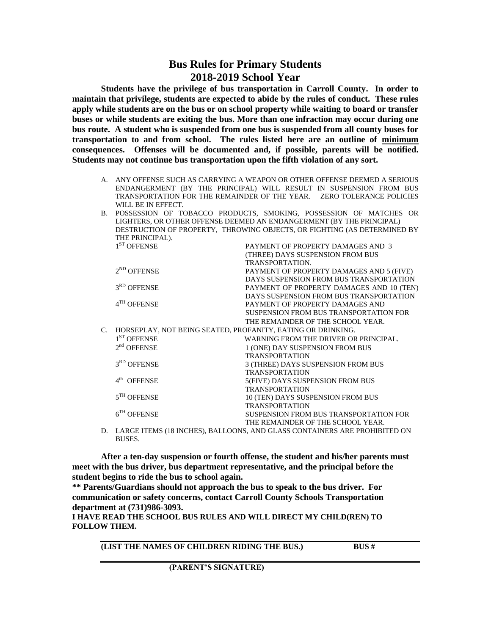## **Bus Rules for Primary Students 2018-2019 School Year**

**Students have the privilege of bus transportation in Carroll County. In order to maintain that privilege, students are expected to abide by the rules of conduct. These rules apply while students are on the bus or on school property while waiting to board or transfer buses or while students are exiting the bus. More than one infraction may occur during one bus route. A student who is suspended from one bus is suspended from all county buses for transportation to and from school. The rules listed here are an outline of minimum consequences. Offenses will be documented and, if possible, parents will be notified. Students may not continue bus transportation upon the fifth violation of any sort.**

- A. ANY OFFENSE SUCH AS CARRYING A WEAPON OR OTHER OFFENSE DEEMED A SERIOUS ENDANGERMENT (BY THE PRINCIPAL) WILL RESULT IN SUSPENSION FROM BUS TRANSPORTATION FOR THE REMAINDER OF THE YEAR. ZERO TOLERANCE POLICIES WILL BE IN EFFECT.
- B. POSSESSION OF TOBACCO PRODUCTS, SMOKING, POSSESSION OF MATCHES OR LIGHTERS, OR OTHER OFFENSE DEEMED AN ENDANGERMENT (BY THE PRINCIPAL) DESTRUCTION OF PROPERTY, THROWING OBJECTS, OR FIGHTING (AS DETERMINED BY THE PRINCIPAL).

|    | $1ST$ OFFENSE                                               | PAYMENT OF PROPERTY DAMAGES AND 3                                            |
|----|-------------------------------------------------------------|------------------------------------------------------------------------------|
|    |                                                             | (THREE) DAYS SUSPENSION FROM BUS                                             |
|    |                                                             | TRANSPORTATION.                                                              |
|    | $2^{ND}$ OFFENSE                                            | PAYMENT OF PROPERTY DAMAGES AND 5 (FIVE)                                     |
|    |                                                             | DAYS SUSPENSION FROM BUS TRANSPORTATION                                      |
|    | 3 <sup>RD</sup> OFFENSE                                     | PAYMENT OF PROPERTY DAMAGES AND 10 (TEN)                                     |
|    |                                                             | DAYS SUSPENSION FROM BUS TRANSPORTATION                                      |
|    | $4TH$ OFFENSE                                               | PAYMENT OF PROPERTY DAMAGES AND                                              |
|    |                                                             | <b>SUSPENSION FROM BUS TRANSPORTATION FOR</b>                                |
|    |                                                             | THE REMAINDER OF THE SCHOOL YEAR.                                            |
| C. | HORSEPLAY, NOT BEING SEATED, PROFANITY, EATING OR DRINKING. |                                                                              |
|    | $1ST$ OFFENSE                                               | WARNING FROM THE DRIVER OR PRINCIPAL.                                        |
|    | $2nd$ OFFENSE                                               | 1 (ONE) DAY SUSPENSION FROM BUS                                              |
|    |                                                             | <b>TRANSPORTATION</b>                                                        |
|    | $3RD$ OFFENSE                                               | 3 (THREE) DAYS SUSPENSION FROM BUS                                           |
|    |                                                             | <b>TRANSPORTATION</b>                                                        |
|    | 4 <sup>th</sup> OFFENSE                                     | 5(FIVE) DAYS SUSPENSION FROM BUS                                             |
|    |                                                             | <b>TRANSPORTATION</b>                                                        |
|    | $5^{TH}$ OFFENSE                                            | 10 (TEN) DAYS SUSPENSION FROM BUS                                            |
|    |                                                             | <b>TRANSPORTATION</b>                                                        |
|    | $6TH$ OFFENSE                                               | <b>SUSPENSION FROM BUS TRANSPORTATION FOR</b>                                |
|    |                                                             | THE REMAINDER OF THE SCHOOL YEAR.                                            |
|    |                                                             | D. LARGE ITEMS (18 INCHES), BALLOONS, AND GLASS CONTAINERS ARE PROHIBITED ON |

BUSES.

**After a ten-day suspension or fourth offense, the student and his/her parents must meet with the bus driver, bus department representative, and the principal before the student begins to ride the bus to school again.**

**\*\* Parents/Guardians should not approach the bus to speak to the bus driver. For communication or safety concerns, contact Carroll County Schools Transportation department at (731)986-3093.**

**I HAVE READ THE SCHOOL BUS RULES AND WILL DIRECT MY CHILD(REN) TO FOLLOW THEM.**

**(LIST THE NAMES OF CHILDREN RIDING THE BUS.) BUS #**

 **(PARENT'S SIGNATURE)**